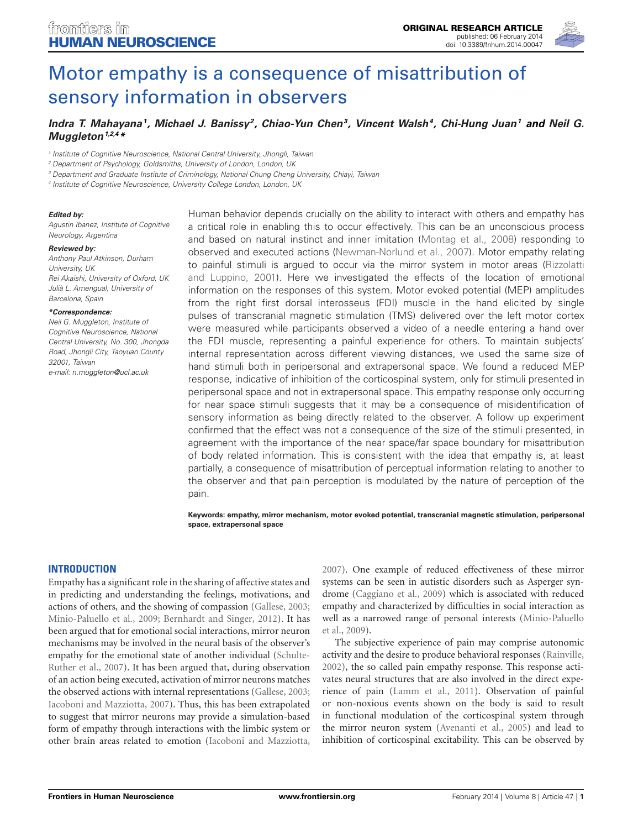

# [Motor empathy is a consequence of misattribution of](http://www.frontiersin.org/Journal/10.3389/fnhum.2014.00047/abstract) [sensory information in observers](http://www.frontiersin.org/Journal/10.3389/fnhum.2014.00047/abstract)

# **[Indra T. Mahayana](http://www.frontiersin.org/people/u/124147)<sup>1</sup> , [Michael J. Banissy](http://www.frontiersin.org/people/u/59248)<sup>2</sup> , Chiao-Yun Chen<sup>3</sup> , [Vincent Walsh](http://www.frontiersin.org/people/u/13503)<sup>4</sup> , [Chi-Hung Juan](http://www.frontiersin.org/people/u/95844)<sup>1</sup> and [Neil G.](http://community.frontiersin.org/people/u/66392) [Muggleton](http://community.frontiersin.org/people/u/66392)1,2,4\***

1 Institute of Cognitive Neuroscience, National Central University, Jhongli, Taiwan

<sup>2</sup> Department of Psychology, Goldsmiths, University of London, London, UK

<sup>3</sup> Department and Graduate Institute of Criminology, National Chung Cheng University, Chiayi, Taiwan

4 Institute of Cognitive Neuroscience, University College London, London, UK

#### **Edited by:**

Agustin Ibanez, Institute of Cognitive Neurology, Argentina

#### **Reviewed by:**

Anthony Paul Atkinson, Durham University, UK Rei Akaishi, University of Oxford, UK Julià L. Amengual, University of Barcelona, Spain

#### **\*Correspondence:**

Neil G. Muggleton, Institute of Cognitive Neuroscience, National Central University, No. 300, Jhongda Road, Jhongli City, Taoyuan County 32001, Taiwan e-mail: [n.muggleton@ucl.ac.uk](mailto:n.muggleton@ucl.ac.uk)

Human behavior depends crucially on the ability to interact with others and empathy has a critical role in enabling this to occur effectively. This can be an unconscious process and based on natural instinct and inner imitation [\(Montag et al., 2008\)](#page-5-0) responding to observed and executed actions [\(Newman-Norlund et al., 2007\)](#page-5-1). Motor empathy relating to painful stimuli is argued to occur via the mirror system in motor areas [\(Rizzolatti](#page-5-2) [and Luppino, 2001\)](#page-5-2). Here we investigated the effects of the location of emotional information on the responses of this system. Motor evoked potential (MEP) amplitudes from the right first dorsal interosseus (FDI) muscle in the hand elicited by single pulses of transcranial magnetic stimulation (TMS) delivered over the left motor cortex were measured while participants observed a video of a needle entering a hand over the FDI muscle, representing a painful experience for others. To maintain subjects' internal representation across different viewing distances, we used the same size of hand stimuli both in peripersonal and extrapersonal space. We found a reduced MEP response, indicative of inhibition of the corticospinal system, only for stimuli presented in peripersonal space and not in extrapersonal space. This empathy response only occurring for near space stimuli suggests that it may be a consequence of misidentification of sensory information as being directly related to the observer. A follow up experiment confirmed that the effect was not a consequence of the size of the stimuli presented, in agreement with the importance of the near space/far space boundary for misattribution of body related information. This is consistent with the idea that empathy is, at least partially, a consequence of misattribution of perceptual information relating to another to the observer and that pain perception is modulated by the nature of perception of the pain.

**Keywords: empathy, mirror mechanism, motor evoked potential, transcranial magnetic stimulation, peripersonal space, extrapersonal space**

## **INTRODUCTION**

Empathy has a significant role in the sharing of affective states and in predicting and understanding the feelings, motivations, and actions of others, and the showing of compassion [\(Gallese, 2003;](#page-5-3) [Minio-Paluello et al., 2009;](#page-5-4) [Bernhardt and Singer, 2012\)](#page-5-5). It has been argued that for emotional social interactions, mirror neuron mechanisms may be involved in the neural basis of the observer's empathy for the emotional state of another individual [\(Schulte-](#page-5-6)[Ruther et al., 2007\)](#page-5-6). It has been argued that, during observation of an action being executed, activation of mirror neurons matches the observed actions with internal representations [\(Gallese, 2003;](#page-5-3) [Iacoboni and Mazziotta, 2007\)](#page-5-7). Thus, this has been extrapolated to suggest that mirror neurons may provide a simulation-based form of empathy through interactions with the limbic system or other brain areas related to emotion [\(Iacoboni and Mazziotta,](#page-5-7)

[2007\)](#page-5-7). One example of reduced effectiveness of these mirror systems can be seen in autistic disorders such as Asperger syndrome [\(Caggiano et al., 2009\)](#page-5-8) which is associated with reduced empathy and characterized by difficulties in social interaction as well as a narrowed range of personal interests [\(Minio-Paluello](#page-5-4) [et al., 2009\)](#page-5-4).

The subjective experience of pain may comprise autonomic activity and the desire to produce behavioral responses [\(Rainville,](#page-5-9) [2002\)](#page-5-9), the so called pain empathy response. This response activates neural structures that are also involved in the direct experience of pain [\(Lamm et al., 2011\)](#page-5-10). Observation of painful or non-noxious events shown on the body is said to result in functional modulation of the corticospinal system through the mirror neuron system [\(Avenanti et al., 2005\)](#page-5-11) and lead to inhibition of corticospinal excitability. This can be observed by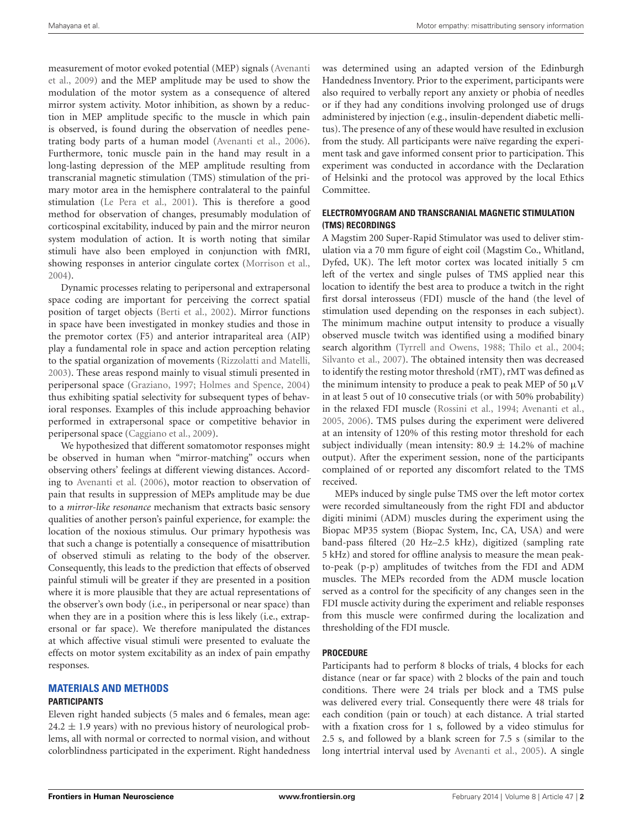measurement of motor evoked potential (MEP) signals [\(Avenanti](#page-5-12) [et al.,](#page-5-12) [2009\)](#page-5-12) and the MEP amplitude may be used to show the modulation of the motor system as a consequence of altered mirror system activity. Motor inhibition, as shown by a reduction in MEP amplitude specific to the muscle in which pain is observed, is found during the observation of needles penetrating body parts of a human model [\(Avenanti et al.,](#page-5-13) [2006\)](#page-5-13). Furthermore, tonic muscle pain in the hand may result in a long-lasting depression of the MEP amplitude resulting from transcranial magnetic stimulation (TMS) stimulation of the primary motor area in the hemisphere contralateral to the painful stimulation [\(Le Pera et al.,](#page-5-14) [2001\)](#page-5-14). This is therefore a good method for observation of changes, presumably modulation of corticospinal excitability, induced by pain and the mirror neuron system modulation of action. It is worth noting that similar stimuli have also been employed in conjunction with fMRI, showing responses in anterior cingulate cortex [\(Morrison et al.,](#page-5-15) [2004\)](#page-5-15).

Dynamic processes relating to peripersonal and extrapersonal space coding are important for perceiving the correct spatial position of target objects [\(Berti et al.,](#page-5-16) [2002\)](#page-5-16). Mirror functions in space have been investigated in monkey studies and those in the premotor cortex (F5) and anterior intrapariteal area (AIP) play a fundamental role in space and action perception relating to the spatial organization of movements [\(Rizzolatti and Matelli,](#page-5-17) [2003\)](#page-5-17). These areas respond mainly to visual stimuli presented in peripersonal space [\(Graziano,](#page-5-18) [1997;](#page-5-18) [Holmes and Spence,](#page-5-19) [2004\)](#page-5-19) thus exhibiting spatial selectivity for subsequent types of behavioral responses. Examples of this include approaching behavior performed in extrapersonal space or competitive behavior in peripersonal space [\(Caggiano et al.,](#page-5-8) [2009\)](#page-5-8).

We hypothesized that different somatomotor responses might be observed in human when "mirror-matching" occurs when observing others' feelings at different viewing distances. According to [Avenanti et al.](#page-5-13) [\(2006\)](#page-5-13), motor reaction to observation of pain that results in suppression of MEPs amplitude may be due to a *mirror-like resonance* mechanism that extracts basic sensory qualities of another person's painful experience, for example: the location of the noxious stimulus. Our primary hypothesis was that such a change is potentially a consequence of misattribution of observed stimuli as relating to the body of the observer. Consequently, this leads to the prediction that effects of observed painful stimuli will be greater if they are presented in a position where it is more plausible that they are actual representations of the observer's own body (i.e., in peripersonal or near space) than when they are in a position where this is less likely (i.e., extrapersonal or far space). We therefore manipulated the distances at which affective visual stimuli were presented to evaluate the effects on motor system excitability as an index of pain empathy responses.

# **MATERIALS AND METHODS**

### **PARTICIPANTS**

Eleven right handed subjects (5 males and 6 females, mean age:  $24.2 \pm 1.9$  years) with no previous history of neurological problems, all with normal or corrected to normal vision, and without colorblindness participated in the experiment. Right handedness

was determined using an adapted version of the Edinburgh Handedness Inventory. Prior to the experiment, participants were also required to verbally report any anxiety or phobia of needles or if they had any conditions involving prolonged use of drugs administered by injection (e.g., insulin-dependent diabetic mellitus). The presence of any of these would have resulted in exclusion from the study. All participants were naïve regarding the experiment task and gave informed consent prior to participation. This experiment was conducted in accordance with the Declaration of Helsinki and the protocol was approved by the local Ethics Committee.

## **ELECTROMYOGRAM AND TRANSCRANIAL MAGNETIC STIMULATION (TMS) RECORDINGS**

A Magstim 200 Super-Rapid Stimulator was used to deliver stimulation via a 70 mm figure of eight coil (Magstim Co., Whitland, Dyfed, UK). The left motor cortex was located initially 5 cm left of the vertex and single pulses of TMS applied near this location to identify the best area to produce a twitch in the right first dorsal interosseus (FDI) muscle of the hand (the level of stimulation used depending on the responses in each subject). The minimum machine output intensity to produce a visually observed muscle twitch was identified using a modified binary search algorithm [\(Tyrrell and Owens,](#page-5-20) [1988;](#page-5-20) [Thilo et al.,](#page-5-21) [2004;](#page-5-21) [Silvanto et al.,](#page-5-22) [2007\)](#page-5-22). The obtained intensity then was decreased to identify the resting motor threshold (rMT), rMT was defined as the minimum intensity to produce a peak to peak MEP of 50  $\mu$ V in at least 5 out of 10 consecutive trials (or with 50% probability) in the relaxed FDI muscle [\(Rossini et al.,](#page-5-23) [1994;](#page-5-23) [Avenanti et al.,](#page-5-11) [2005,](#page-5-11) [2006\)](#page-5-13). TMS pulses during the experiment were delivered at an intensity of 120% of this resting motor threshold for each subject individually (mean intensity:  $80.9 \pm 14.2\%$  of machine output). After the experiment session, none of the participants complained of or reported any discomfort related to the TMS received.

MEPs induced by single pulse TMS over the left motor cortex were recorded simultaneously from the right FDI and abductor digiti minimi (ADM) muscles during the experiment using the Biopac MP35 system (Biopac System, Inc, CA, USA) and were band-pass filtered (20 Hz–2.5 kHz), digitized (sampling rate 5 kHz) and stored for offline analysis to measure the mean peakto-peak (p-p) amplitudes of twitches from the FDI and ADM muscles. The MEPs recorded from the ADM muscle location served as a control for the specificity of any changes seen in the FDI muscle activity during the experiment and reliable responses from this muscle were confirmed during the localization and thresholding of the FDI muscle.

## **PROCEDURE**

Participants had to perform 8 blocks of trials, 4 blocks for each distance (near or far space) with 2 blocks of the pain and touch conditions. There were 24 trials per block and a TMS pulse was delivered every trial. Consequently there were 48 trials for each condition (pain or touch) at each distance. A trial started with a fixation cross for 1 s, followed by a video stimulus for 2.5 s, and followed by a blank screen for 7.5 s (similar to the long intertrial interval used by [Avenanti et al.,](#page-5-11) [2005\)](#page-5-11). A single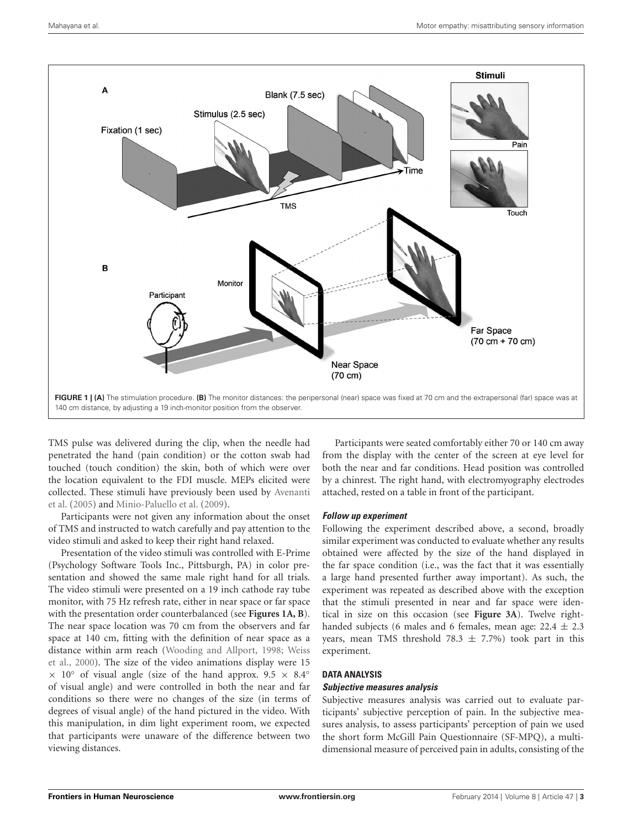

<span id="page-2-0"></span>TMS pulse was delivered during the clip, when the needle had penetrated the hand (pain condition) or the cotton swab had touched (touch condition) the skin, both of which were over the location equivalent to the FDI muscle. MEPs elicited were collected. These stimuli have previously been used by [Avenanti](#page-5-11) [et al.](#page-5-11) [\(2005\)](#page-5-11) and [Minio-Paluello et al.](#page-5-4) [\(2009\)](#page-5-4).

Participants were not given any information about the onset of TMS and instructed to watch carefully and pay attention to the video stimuli and asked to keep their right hand relaxed.

Presentation of the video stimuli was controlled with E-Prime (Psychology Software Tools Inc., Pittsburgh, PA) in color presentation and showed the same male right hand for all trials. The video stimuli were presented on a 19 inch cathode ray tube monitor, with 75 Hz refresh rate, either in near space or far space with the presentation order counterbalanced (see **[Figures 1A, B](#page-2-0)**). The near space location was 70 cm from the observers and far space at 140 cm, fitting with the definition of near space as a distance within arm reach [\(Wooding and Allport,](#page-5-24) [1998;](#page-5-24) [Weiss](#page-5-25) [et al.,](#page-5-25) [2000\)](#page-5-25). The size of the video animations display were 15  $\times$  10° of visual angle (size of the hand approx. 9.5  $\times$  8.4° of visual angle) and were controlled in both the near and far conditions so there were no changes of the size (in terms of degrees of visual angle) of the hand pictured in the video. With this manipulation, in dim light experiment room, we expected that participants were unaware of the difference between two viewing distances.

Participants were seated comfortably either 70 or 140 cm away from the display with the center of the screen at eye level for both the near and far conditions. Head position was controlled by a chinrest. The right hand, with electromyography electrodes attached, rested on a table in front of the participant.

### **Follow up experiment**

Following the experiment described above, a second, broadly similar experiment was conducted to evaluate whether any results obtained were affected by the size of the hand displayed in the far space condition (i.e., was the fact that it was essentially a large hand presented further away important). As such, the experiment was repeated as described above with the exception that the stimuli presented in near and far space were identical in size on this occasion (see **[Figure 3A](#page-4-0)**). Twelve righthanded subjects (6 males and 6 females, mean age:  $22.4 \pm 2.3$ years, mean TMS threshold 78.3  $\pm$  7.7%) took part in this experiment.

### **DATA ANALYSIS**

### **Subjective measures analysis**

Subjective measures analysis was carried out to evaluate participants' subjective perception of pain. In the subjective measures analysis, to assess participants' perception of pain we used the short form McGill Pain Questionnaire (SF-MPQ), a multidimensional measure of perceived pain in adults, consisting of the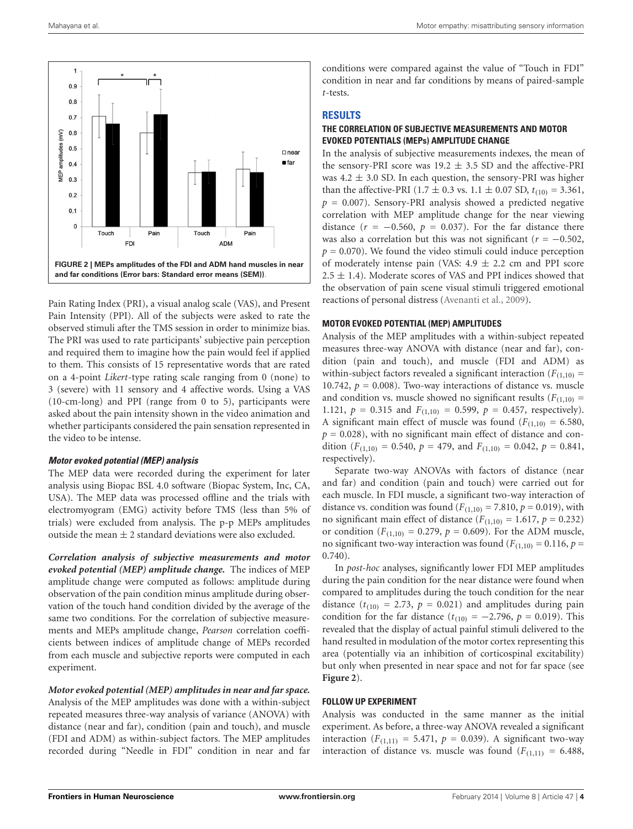

<span id="page-3-0"></span>Pain Rating Index (PRI), a visual analog scale (VAS), and Present Pain Intensity (PPI). All of the subjects were asked to rate the observed stimuli after the TMS session in order to minimize bias. The PRI was used to rate participants' subjective pain perception and required them to imagine how the pain would feel if applied to them. This consists of 15 representative words that are rated on a 4-point *Likert*-type rating scale ranging from 0 (none) to 3 (severe) with 11 sensory and 4 affective words. Using a VAS (10-cm-long) and PPI (range from 0 to 5), participants were asked about the pain intensity shown in the video animation and whether participants considered the pain sensation represented in the video to be intense.

### **Motor evoked potential (MEP) analysis**

The MEP data were recorded during the experiment for later analysis using Biopac BSL 4.0 software (Biopac System, Inc, CA, USA). The MEP data was processed offline and the trials with electromyogram (EMG) activity before TMS (less than 5% of trials) were excluded from analysis. The p-p MEPs amplitudes outside the mean  $\pm$  2 standard deviations were also excluded.

*Correlation analysis of subjective measurements and motor evoked potential (MEP) amplitude change.* The indices of MEP amplitude change were computed as follows: amplitude during observation of the pain condition minus amplitude during observation of the touch hand condition divided by the average of the same two conditions. For the correlation of subjective measurements and MEPs amplitude change, *Pearson* correlation coefficients between indices of amplitude change of MEPs recorded from each muscle and subjective reports were computed in each experiment.

*Motor evoked potential (MEP) amplitudes in near and far space.* Analysis of the MEP amplitudes was done with a within-subject repeated measures three-way analysis of variance (ANOVA) with distance (near and far), condition (pain and touch), and muscle (FDI and ADM) as within-subject factors. The MEP amplitudes recorded during "Needle in FDI" condition in near and far

conditions were compared against the value of "Touch in FDI" condition in near and far conditions by means of paired-sample *t*-tests.

# **RESULTS**

## **THE CORRELATION OF SUBJECTIVE MEASUREMENTS AND MOTOR EVOKED POTENTIALS (MEPs) AMPLITUDE CHANGE**

In the analysis of subjective measurements indexes, the mean of the sensory-PRI score was  $19.2 \pm 3.5$  SD and the affective-PRI was  $4.2 \pm 3.0$  SD. In each question, the sensory-PRI was higher than the affective-PRI (1.7  $\pm$  0.3 vs. 1.1  $\pm$  0.07 SD,  $t_{(10)} = 3.361$ ,  $p = 0.007$ ). Sensory-PRI analysis showed a predicted negative correlation with MEP amplitude change for the near viewing distance  $(r = -0.560, p = 0.037)$ . For the far distance there was also a correlation but this was not significant  $(r = -0.502,$  $p = 0.070$ ). We found the video stimuli could induce perception of moderately intense pain (VAS:  $4.9 \pm 2.2$  cm and PPI score  $2.5 \pm 1.4$ ). Moderate scores of VAS and PPI indices showed that the observation of pain scene visual stimuli triggered emotional reactions of personal distress [\(Avenanti et al.,](#page-5-12) [2009\)](#page-5-12).

#### **MOTOR EVOKED POTENTIAL (MEP) AMPLITUDES**

Analysis of the MEP amplitudes with a within-subject repeated measures three-way ANOVA with distance (near and far), condition (pain and touch), and muscle (FDI and ADM) as within-subject factors revealed a significant interaction  $(F_{(1,10)} =$ 10.742,  $p = 0.008$ ). Two-way interactions of distance vs. muscle and condition vs. muscle showed no significant results ( $F_{(1,10)}$  = 1.121,  $p = 0.315$  and  $F_{(1,10)} = 0.599$ ,  $p = 0.457$ , respectively). A significant main effect of muscle was found  $(F_{(1,10)} = 6.580,$  $p = 0.028$ ), with no significant main effect of distance and condition ( $F_{(1,10)} = 0.540$ ,  $p = 479$ , and  $F_{(1,10)} = 0.042$ ,  $p = 0.841$ , respectively).

Separate two-way ANOVAs with factors of distance (near and far) and condition (pain and touch) were carried out for each muscle. In FDI muscle, a significant two-way interaction of distance vs. condition was found  $(F_{(1,10)} = 7.810, p = 0.019)$ , with no significant main effect of distance ( $F_{(1,10)} = 1.617$ ,  $p = 0.232$ ) or condition ( $F_{(1,10)} = 0.279$ ,  $p = 0.609$ ). For the ADM muscle, no significant two-way interaction was found  $(F_{(1,10)} = 0.116, p =$ 0.740).

In *post-hoc* analyses, significantly lower FDI MEP amplitudes during the pain condition for the near distance were found when compared to amplitudes during the touch condition for the near distance  $(t_{(10)} = 2.73, p = 0.021)$  and amplitudes during pain condition for the far distance ( $t_{(10)} = -2.796$ ,  $p = 0.019$ ). This revealed that the display of actual painful stimuli delivered to the hand resulted in modulation of the motor cortex representing this area (potentially via an inhibition of corticospinal excitability) but only when presented in near space and not for far space (see **[Figure 2](#page-3-0)**).

### **FOLLOW UP EXPERIMENT**

Analysis was conducted in the same manner as the initial experiment. As before, a three-way ANOVA revealed a significant interaction ( $F_{(1,11)} = 5.471$ ,  $p = 0.039$ ). A significant two-way interaction of distance vs. muscle was found  $(F_{(1,11)} = 6.488,$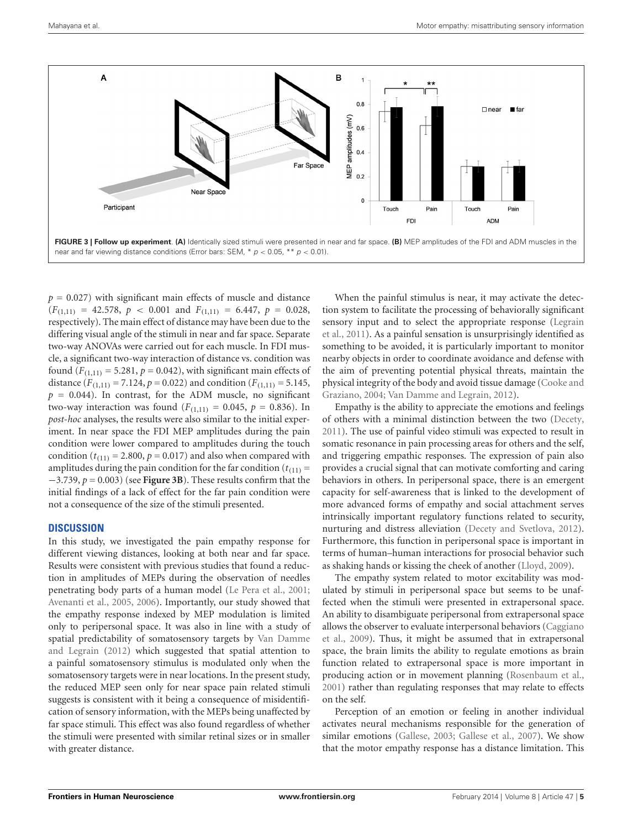

<span id="page-4-0"></span> $p = 0.027$ ) with significant main effects of muscle and distance  $(F_{(1,11)} = 42.578, p < 0.001$  and  $F_{(1,11)} = 6.447, p = 0.028$ , respectively). The main effect of distance may have been due to the differing visual angle of the stimuli in near and far space. Separate two-way ANOVAs were carried out for each muscle. In FDI muscle, a significant two-way interaction of distance vs. condition was found  $(F_{(1,11)} = 5.281, p = 0.042)$ , with significant main effects of distance  $(F_{(1,11)} = 7.124, p = 0.022)$  and condition  $(F_{(1,11)} = 5.145,$  $p = 0.044$ ). In contrast, for the ADM muscle, no significant two-way interaction was found  $(F_{(1,11)} = 0.045, p = 0.836)$ . In *post-hoc* analyses, the results were also similar to the initial experiment. In near space the FDI MEP amplitudes during the pain condition were lower compared to amplitudes during the touch condition  $(t_{(11)} = 2.800, p = 0.017)$  and also when compared with amplitudes during the pain condition for the far condition  $(t_{(11)} =$ −3.739, *p* = 0.003) (see **[Figure 3B](#page-4-0)**). These results confirm that the initial findings of a lack of effect for the far pain condition were not a consequence of the size of the stimuli presented.

## **DISCUSSION**

In this study, we investigated the pain empathy response for different viewing distances, looking at both near and far space. Results were consistent with previous studies that found a reduction in amplitudes of MEPs during the observation of needles penetrating body parts of a human model [\(Le Pera et al.,](#page-5-14) [2001;](#page-5-14) [Avenanti et al.,](#page-5-11) [2005,](#page-5-11) [2006\)](#page-5-13). Importantly, our study showed that the empathy response indexed by MEP modulation is limited only to peripersonal space. It was also in line with a study of spatial predictability of somatosensory targets by [Van Damme](#page-5-26) [and Legrain](#page-5-26) [\(2012\)](#page-5-26) which suggested that spatial attention to a painful somatosensory stimulus is modulated only when the somatosensory targets were in near locations. In the present study, the reduced MEP seen only for near space pain related stimuli suggests is consistent with it being a consequence of misidentification of sensory information, with the MEPs being unaffected by far space stimuli. This effect was also found regardless of whether the stimuli were presented with similar retinal sizes or in smaller with greater distance.

When the painful stimulus is near, it may activate the detection system to facilitate the processing of behaviorally significant sensory input and to select the appropriate response [\(Legrain](#page-5-27) [et al.,](#page-5-27) [2011\)](#page-5-27). As a painful sensation is unsurprisingly identified as something to be avoided, it is particularly important to monitor nearby objects in order to coordinate avoidance and defense with the aim of preventing potential physical threats, maintain the physical integrity of the body and avoid tissue damage [\(Cooke and](#page-5-28) [Graziano,](#page-5-28) [2004;](#page-5-28) [Van Damme and Legrain,](#page-5-26) [2012\)](#page-5-26).

Empathy is the ability to appreciate the emotions and feelings of others with a minimal distinction between the two [\(Decety,](#page-5-29) [2011\)](#page-5-29). The use of painful video stimuli was expected to result in somatic resonance in pain processing areas for others and the self, and triggering empathic responses. The expression of pain also provides a crucial signal that can motivate comforting and caring behaviors in others. In peripersonal space, there is an emergent capacity for self-awareness that is linked to the development of more advanced forms of empathy and social attachment serves intrinsically important regulatory functions related to security, nurturing and distress alleviation [\(Decety and Svetlova,](#page-5-30) [2012\)](#page-5-30). Furthermore, this function in peripersonal space is important in terms of human–human interactions for prosocial behavior such as shaking hands or kissing the cheek of another [\(Lloyd,](#page-5-31) [2009\)](#page-5-31).

The empathy system related to motor excitability was modulated by stimuli in peripersonal space but seems to be unaffected when the stimuli were presented in extrapersonal space. An ability to disambiguate peripersonal from extrapersonal space allows the observer to evaluate interpersonal behaviors [\(Caggiano](#page-5-8) [et al.,](#page-5-8) [2009\)](#page-5-8). Thus, it might be assumed that in extrapersonal space, the brain limits the ability to regulate emotions as brain function related to extrapersonal space is more important in producing action or in movement planning [\(Rosenbaum et al.,](#page-5-32) [2001\)](#page-5-32) rather than regulating responses that may relate to effects on the self.

Perception of an emotion or feeling in another individual activates neural mechanisms responsible for the generation of similar emotions [\(Gallese,](#page-5-3) [2003;](#page-5-3) [Gallese et al.,](#page-5-33) [2007\)](#page-5-33). We show that the motor empathy response has a distance limitation. This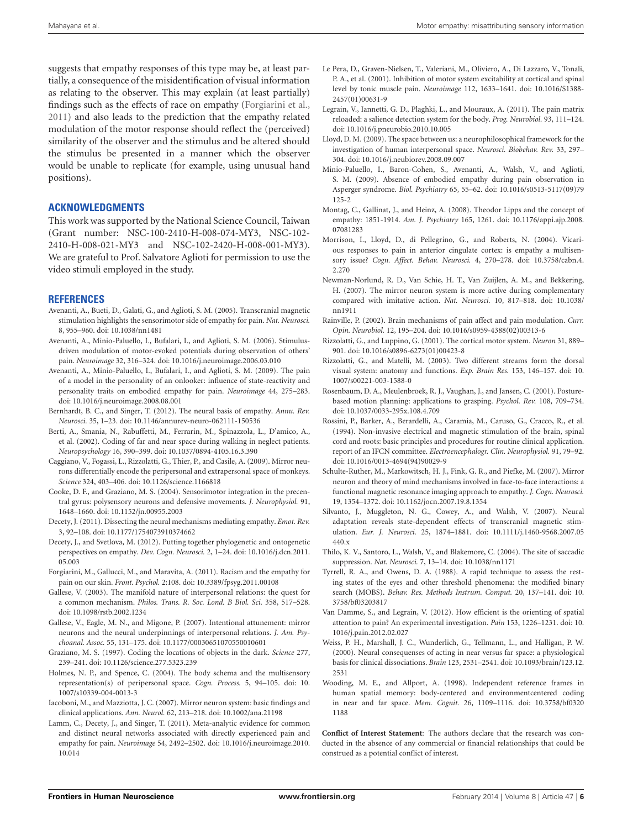suggests that empathy responses of this type may be, at least partially, a consequence of the misidentification of visual information as relating to the observer. This may explain (at least partially) findings such as the effects of race on empathy [\(Forgiarini et al.,](#page-5-34) [2011\)](#page-5-34) and also leads to the prediction that the empathy related modulation of the motor response should reflect the (perceived) similarity of the observer and the stimulus and be altered should the stimulus be presented in a manner which the observer would be unable to replicate (for example, using unusual hand positions).

## **ACKNOWLEDGMENTS**

This work was supported by the National Science Council, Taiwan (Grant number: NSC-100-2410-H-008-074-MY3, NSC-102- 2410-H-008-021-MY3 and NSC-102-2420-H-008-001-MY3). We are grateful to Prof. Salvatore Aglioti for permission to use the video stimuli employed in the study.

### **REFERENCES**

- <span id="page-5-11"></span>Avenanti, A., Bueti, D., Galati, G., and Aglioti, S. M. (2005). Transcranial magnetic stimulation highlights the sensorimotor side of empathy for pain. *Nat. Neurosci.* 8, 955–960. doi: 10.1038/nn1481
- <span id="page-5-13"></span>Avenanti, A., Minio-Paluello, I., Bufalari, I., and Aglioti, S. M. (2006). Stimulusdriven modulation of motor-evoked potentials during observation of others' pain. *Neuroimage* 32, 316–324. doi: 10.1016/j.neuroimage.2006.03.010
- <span id="page-5-12"></span>Avenanti, A., Minio-Paluello, I., Bufalari, I., and Aglioti, S. M. (2009). The pain of a model in the personality of an onlooker: influence of state-reactivity and personality traits on embodied empathy for pain. *Neuroimage* 44, 275–283. doi: 10.1016/j.neuroimage.2008.08.001
- <span id="page-5-5"></span>Bernhardt, B. C., and Singer, T. (2012). The neural basis of empathy. *Annu. Rev. Neurosci.* 35, 1–23. doi: 10.1146/annurev-neuro-062111-150536
- <span id="page-5-16"></span>Berti, A., Smania, N., Rabuffetti, M., Ferrarin, M., Spinazzola, L., D'amico, A., et al. (2002). Coding of far and near space during walking in neglect patients. *Neuropsychology* 16, 390–399. doi: 10.1037/0894-4105.16.3.390
- <span id="page-5-8"></span>Caggiano, V., Fogassi, L., Rizzolatti, G., Thier, P., and Casile, A. (2009). Mirror neurons differentially encode the peripersonal and extrapersonal space of monkeys. *Science* 324, 403–406. doi: 10.1126/science.1166818
- <span id="page-5-28"></span>Cooke, D. F., and Graziano, M. S. (2004). Sensorimotor integration in the precentral gyrus: polysensory neurons and defensive movements. *J. Neurophysiol.* 91, 1648–1660. doi: 10.1152/jn.00955.2003
- <span id="page-5-29"></span>Decety, J. (2011). Dissecting the neural mechanisms mediating empathy. *Emot. Rev.* 3, 92–108. doi: 10.1177/1754073910374662
- <span id="page-5-30"></span>Decety, J., and Svetlova, M. (2012). Putting together phylogenetic and ontogenetic perspectives on empathy. *Dev. Cogn. Neurosci.* 2, 1–24. doi: 10.1016/j.dcn.2011. 05.003
- <span id="page-5-34"></span>Forgiarini, M., Gallucci, M., and Maravita, A. (2011). Racism and the empathy for pain on our skin. *Front. Psychol.* 2:108. doi: 10.3389/fpsyg.2011.00108
- <span id="page-5-3"></span>Gallese, V. (2003). The manifold nature of interpersonal relations: the quest for a common mechanism. *Philos. Trans. R. Soc. Lond. B Biol. Sci.* 358, 517–528. doi: 10.1098/rstb.2002.1234
- <span id="page-5-33"></span>Gallese, V., Eagle, M. N., and Migone, P. (2007). Intentional attunement: mirror neurons and the neural underpinnings of interpersonal relations. *J. Am. Psychoanal. Assoc.* 55, 131–175. doi: 10.1177/00030651070550010601
- <span id="page-5-18"></span>Graziano, M. S. (1997). Coding the locations of objects in the dark. *Science* 277, 239–241. doi: 10.1126/science.277.5323.239
- <span id="page-5-19"></span>Holmes, N. P., and Spence, C. (2004). The body schema and the multisensory representation(s) of peripersonal space. *Cogn. Process.* 5, 94–105. doi: 10. 1007/s10339-004-0013-3
- <span id="page-5-7"></span>Iacoboni, M., and Mazziotta, J. C. (2007). Mirror neuron system: basic findings and clinical applications. *Ann. Neurol.* 62, 213–218. doi: 10.1002/ana.21198
- <span id="page-5-10"></span>Lamm, C., Decety, J., and Singer, T. (2011). Meta-analytic evidence for common and distinct neural networks associated with directly experienced pain and empathy for pain. *Neuroimage* 54, 2492–2502. doi: 10.1016/j.neuroimage.2010. 10.014
- <span id="page-5-14"></span>Le Pera, D., Graven-Nielsen, T., Valeriani, M., Oliviero, A., Di Lazzaro, V., Tonali, P. A., et al. (2001). Inhibition of motor system excitability at cortical and spinal level by tonic muscle pain. *Neuroimage* 112, 1633–1641. doi: 10.1016/S1388- 2457(01)00631-9
- <span id="page-5-27"></span>Legrain, V., Iannetti, G. D., Plaghki, L., and Mouraux, A. (2011). The pain matrix reloaded: a salience detection system for the body. *Prog. Neurobiol.* 93, 111–124. doi: 10.1016/j.pneurobio.2010.10.005
- <span id="page-5-31"></span>Lloyd, D. M. (2009). The space between us: a neurophilosophical framework for the investigation of human interpersonal space. *Neurosci. Biobehav. Rev.* 33, 297– 304. doi: 10.1016/j.neubiorev.2008.09.007
- <span id="page-5-4"></span>Minio-Paluello, I., Baron-Cohen, S., Avenanti, A., Walsh, V., and Aglioti, S. M. (2009). Absence of embodied empathy during pain observation in Asperger syndrome. *Biol. Psychiatry* 65, 55–62. doi: 10.1016/s0513-5117(09)79 125-2
- <span id="page-5-0"></span>Montag, C., Gallinat, J., and Heinz, A. (2008). Theodor Lipps and the concept of empathy: 1851-1914. *Am. J. Psychiatry* 165, 1261. doi: 10.1176/appi.ajp.2008. 07081283
- <span id="page-5-15"></span>Morrison, I., Lloyd, D., di Pellegrino, G., and Roberts, N. (2004). Vicarious responses to pain in anterior cingulate cortex: is empathy a multisensory issue? *Cogn. Affect. Behav. Neurosci.* 4, 270–278. doi: 10.3758/cabn.4. 2.270
- <span id="page-5-1"></span>Newman-Norlund, R. D., Van Schie, H. T., Van Zuijlen, A. M., and Bekkering, H. (2007). The mirror neuron system is more active during complementary compared with imitative action. *Nat. Neurosci.* 10, 817–818. doi: 10.1038/ nn1911
- <span id="page-5-9"></span>Rainville, P. (2002). Brain mechanisms of pain affect and pain modulation. *Curr. Opin. Neurobiol.* 12, 195–204. doi: 10.1016/s0959-4388(02)00313-6
- <span id="page-5-2"></span>Rizzolatti, G., and Luppino, G. (2001). The cortical motor system. *Neuron* 31, 889– 901. doi: 10.1016/s0896-6273(01)00423-8
- <span id="page-5-17"></span>Rizzolatti, G., and Matelli, M. (2003). Two different streams form the dorsal visual system: anatomy and functions. *Exp. Brain Res.* 153, 146–157. doi: 10. 1007/s00221-003-1588-0
- <span id="page-5-32"></span>Rosenbaum, D. A., Meulenbroek, R. J., Vaughan, J., and Jansen, C. (2001). Posturebased motion planning: applications to grasping. *Psychol. Rev.* 108, 709–734. doi: 10.1037/0033-295x.108.4.709
- <span id="page-5-23"></span>Rossini, P., Barker, A., Berardelli, A., Caramia, M., Caruso, G., Cracco, R., et al. (1994). Non-invasive electrical and magnetic stimulation of the brain, spinal cord and roots: basic principles and procedures for routine clinical application. report of an IFCN committee. *Electroencephalogr. Clin. Neurophysiol.* 91, 79–92. doi: 10.1016/0013-4694(94)90029-9
- <span id="page-5-6"></span>Schulte-Ruther, M., Markowitsch, H. J., Fink, G. R., and Piefke, M. (2007). Mirror neuron and theory of mind mechanisms involved in face-to-face interactions: a functional magnetic resonance imaging approach to empathy. *J. Cogn. Neurosci.* 19, 1354–1372. doi: 10.1162/jocn.2007.19.8.1354
- <span id="page-5-22"></span>Silvanto, J., Muggleton, N. G., Cowey, A., and Walsh, V. (2007). Neural adaptation reveals state-dependent effects of transcranial magnetic stimulation. *Eur. J. Neurosci.* 25, 1874–1881. doi: 10.1111/j.1460-9568.2007.05 440.x
- <span id="page-5-21"></span>Thilo, K. V., Santoro, L., Walsh, V., and Blakemore, C. (2004). The site of saccadic suppression. *Nat. Neurosci.* 7, 13–14. doi: 10.1038/nn1171
- <span id="page-5-20"></span>Tyrrell, R. A., and Owens, D. A. (1988). A rapid technique to assess the resting states of the eyes and other threshold phenomena: the modified binary search (MOBS). *Behav. Res. Methods Instrum. Comput.* 20, 137–141. doi: 10. 3758/bf03203817
- <span id="page-5-26"></span>Van Damme, S., and Legrain, V. (2012). How efficient is the orienting of spatial attention to pain? An experimental investigation. *Pain* 153, 1226–1231. doi: 10. 1016/j.pain.2012.02.027
- <span id="page-5-25"></span>Weiss, P. H., Marshall, J. C., Wunderlich, G., Tellmann, L., and Halligan, P. W. (2000). Neural consequenses of acting in near versus far space: a physiological basis for clinical dissociations. *Brain* 123, 2531–2541. doi: 10.1093/brain/123.12. 2531
- <span id="page-5-24"></span>Wooding, M. E., and Allport, A. (1998). Independent reference frames in human spatial memory: body-centered and environmentcentered coding in near and far space. *Mem. Cognit.* 26, 1109–1116. doi: 10.3758/bf0320 1188

**Conflict of Interest Statement**: The authors declare that the research was conducted in the absence of any commercial or financial relationships that could be construed as a potential conflict of interest.